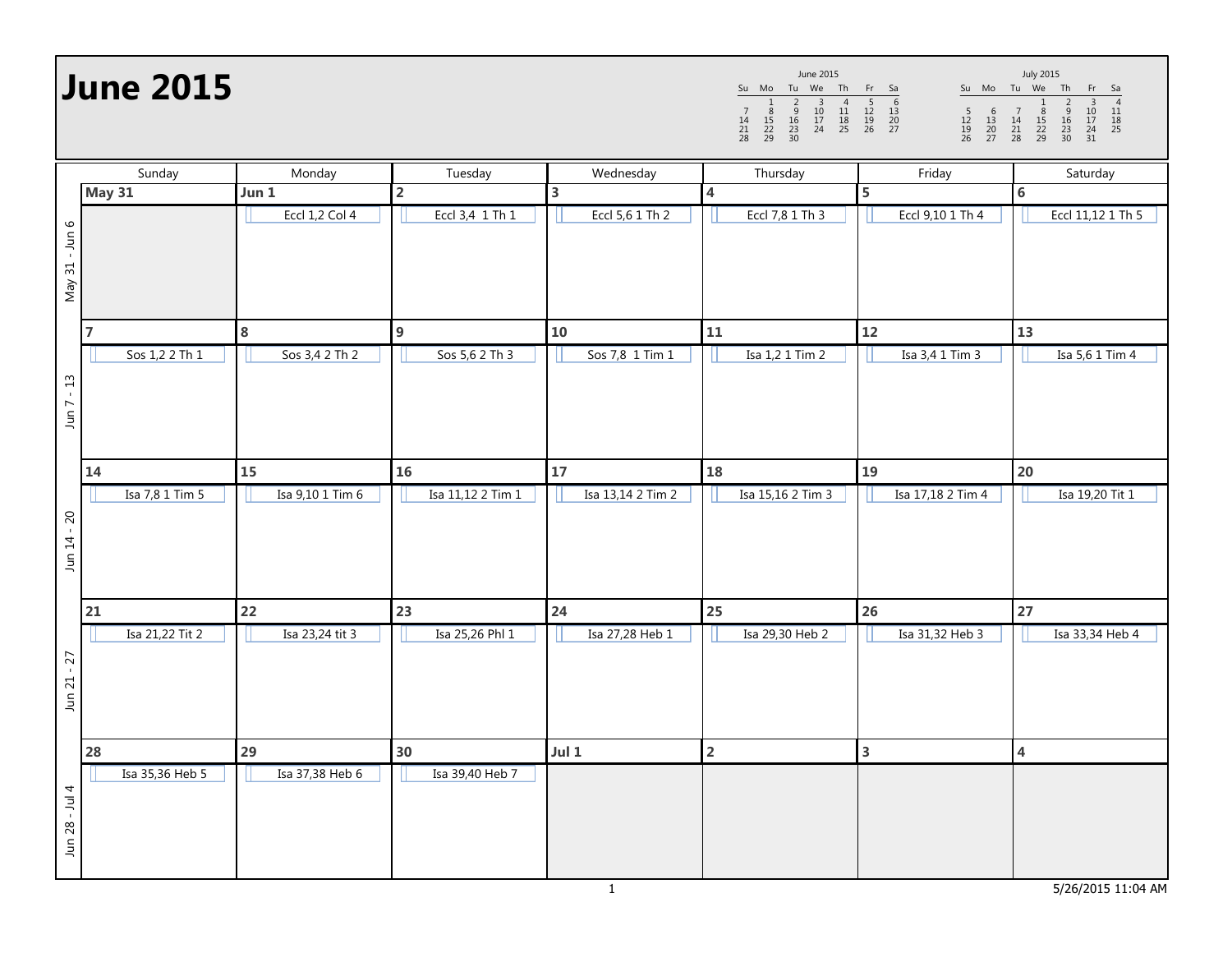**June 2015**

Su Mo Tu We Th Fr Sa <sup>1</sup> <sup>2</sup> <sup>3</sup> <sup>4</sup> <sup>5</sup> <sup>6</sup> <sup>7</sup> <sup>8</sup> <sup>9</sup> <sup>10</sup> <sup>11</sup> <sup>12</sup> <sup>13</sup> <sup>14</sup> <sup>15</sup> <sup>16</sup> <sup>17</sup> <sup>18</sup> <sup>19</sup> <sup>20</sup> <sup>21</sup> <sup>22</sup> <sup>23</sup> <sup>24</sup> <sup>25</sup> <sup>26</sup> <sup>27</sup> <sup>28</sup> <sup>29</sup> <sup>30</sup> June 2015

Su Mo Tu We Th Fr Sa <sup>1</sup> <sup>2</sup> <sup>3</sup> <sup>4</sup> <sup>5</sup> <sup>6</sup> <sup>7</sup> <sup>8</sup> <sup>9</sup> <sup>10</sup> <sup>11</sup> <sup>12</sup> <sup>13</sup> <sup>14</sup> <sup>15</sup> <sup>16</sup> <sup>17</sup> <sup>18</sup> <sup>19</sup> <sup>20</sup> <sup>21</sup> <sup>22</sup> <sup>23</sup> <sup>24</sup> <sup>25</sup> <sup>26</sup> <sup>27</sup> <sup>28</sup> <sup>29</sup> <sup>30</sup> <sup>31</sup> July 2015

| Sunday         |                 | Monday                | Tuesday           | Wednesday               | Thursday                | Friday            | Saturday                |
|----------------|-----------------|-----------------------|-------------------|-------------------------|-------------------------|-------------------|-------------------------|
|                | <b>May 31</b>   | Jun 1                 | $\overline{2}$    | $\overline{\mathbf{3}}$ | 4                       | 5                 | 6                       |
| May 31 - Jun 6 |                 | <b>Eccl 1,2 Col 4</b> | Eccl 3,4 1 Th 1   | Eccl 5,6 1 Th 2         | Eccl 7,8 1 Th 3         | Eccl 9,10 1 Th 4  | Eccl 11,12 1 Th 5       |
|                | $\overline{7}$  | ${\bf 8}$             | $\boldsymbol{9}$  | 10                      | 11                      | 12                | 13                      |
| $-13$<br>Jun 7 | Sos 1,2 2 Th 1  | Sos 3,4 2 Th 2        | Sos 5,6 2 Th 3    | Sos 7,8 1 Tim 1         | Isa 1,2 1 Tim 2         | Isa 3,4 1 Tim 3   | Isa 5,6 1 Tim 4         |
|                | 14              | 15                    | 16                | 17                      | 18                      | 19                | 20                      |
| Jun 14 - 20    | Isa 7,8 1 Tim 5 | Isa 9,10 1 Tim 6      | Isa 11,12 2 Tim 1 | Isa 13,14 2 Tim 2       | Isa 15,16 2 Tim 3       | Isa 17,18 2 Tim 4 | Isa 19,20 Tit 1         |
|                | 21              | 22                    | 23                | 24                      | 25                      | 26                | 27                      |
| $Jun 21 - 27$  | Isa 21,22 Tit 2 | Isa 23,24 tit 3       | Isa 25,26 Phl 1   | Isa 27,28 Heb 1         | Isa 29,30 Heb 2         | Isa 31,32 Heb 3   | Isa 33,34 Heb 4         |
|                | 28              | 29                    | 30                | Jul $1$                 | $\overline{\mathbf{2}}$ | 3                 | $\overline{\mathbf{4}}$ |
| Jun 28 - Jul 4 | Isa 35,36 Heb 5 | Isa 37,38 Heb 6       | Isa 39,40 Heb 7   |                         |                         |                   |                         |